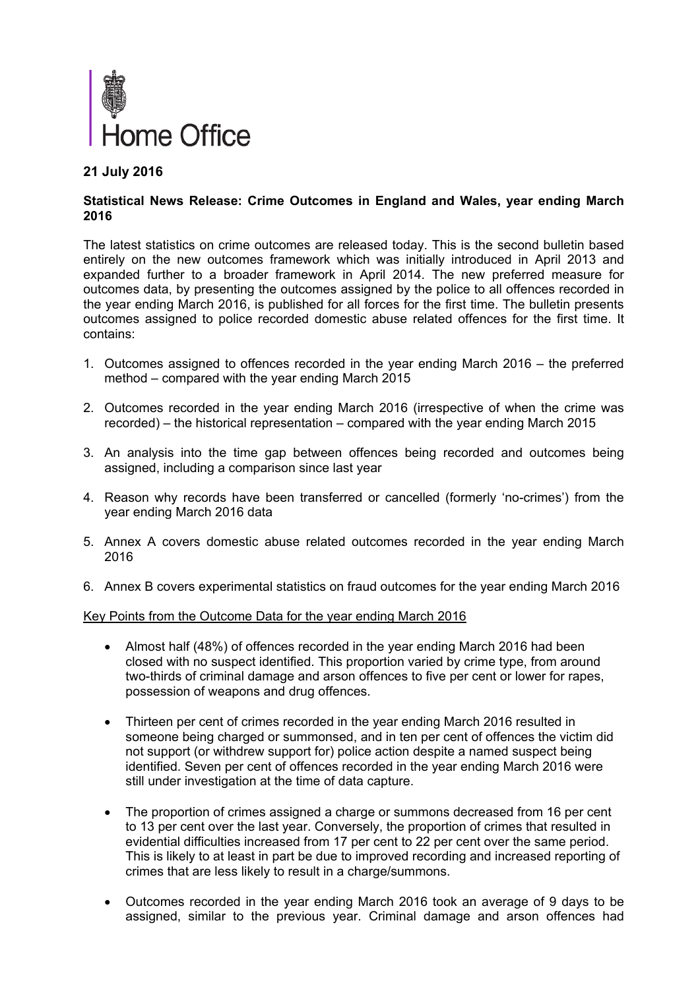

# **21 July 2016**

### **Statistical News Release: Crime Outcomes in England and Wales, year ending March 2016**

The latest statistics on crime outcomes are released today. This is the second bulletin based entirely on the new outcomes framework which was initially introduced in April 2013 and expanded further to a broader framework in April 2014. The new preferred measure for outcomes data, by presenting the outcomes assigned by the police to all offences recorded in the year ending March 2016, is published for all forces for the first time. The bulletin presents outcomes assigned to police recorded domestic abuse related offences for the first time. It contains:

- 1. Outcomes assigned to offences recorded in the year ending March 2016 the preferred method – compared with the year ending March 2015
- 2. Outcomes recorded in the year ending March 2016 (irrespective of when the crime was recorded) – the historical representation – compared with the year ending March 2015
- 3. An analysis into the time gap between offences being recorded and outcomes being assigned, including a comparison since last year
- 4. Reason why records have been transferred or cancelled (formerly 'no-crimes') from the year ending March 2016 data
- 5. Annex A covers domestic abuse related outcomes recorded in the year ending March 2016
- 6. Annex B covers experimental statistics on fraud outcomes for the year ending March 2016

Key Points from the Outcome Data for the year ending March 2016

- Almost half (48%) of offences recorded in the year ending March 2016 had been closed with no suspect identified. This proportion varied by crime type, from around two-thirds of criminal damage and arson offences to five per cent or lower for rapes, possession of weapons and drug offences.
- Thirteen per cent of crimes recorded in the year ending March 2016 resulted in someone being charged or summonsed, and in ten per cent of offences the victim did not support (or withdrew support for) police action despite a named suspect being identified. Seven per cent of offences recorded in the year ending March 2016 were still under investigation at the time of data capture.
- The proportion of crimes assigned a charge or summons decreased from 16 per cent to 13 per cent over the last year. Conversely, the proportion of crimes that resulted in evidential difficulties increased from 17 per cent to 22 per cent over the same period. This is likely to at least in part be due to improved recording and increased reporting of crimes that are less likely to result in a charge/summons.
- Outcomes recorded in the year ending March 2016 took an average of 9 days to be assigned, similar to the previous year. Criminal damage and arson offences had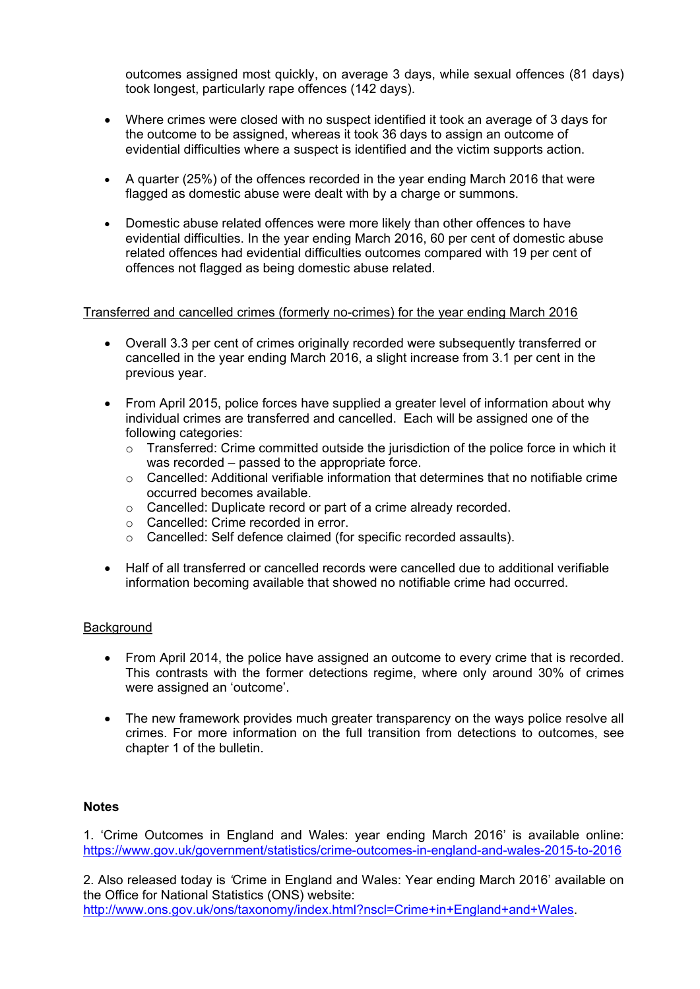outcomes assigned most quickly, on average 3 days, while sexual offences (81 days) took longest, particularly rape offences (142 days).

- Where crimes were closed with no suspect identified it took an average of 3 days for the outcome to be assigned, whereas it took 36 days to assign an outcome of evidential difficulties where a suspect is identified and the victim supports action.
- A quarter (25%) of the offences recorded in the year ending March 2016 that were flagged as domestic abuse were dealt with by a charge or summons.
- Domestic abuse related offences were more likely than other offences to have evidential difficulties. In the year ending March 2016, 60 per cent of domestic abuse related offences had evidential difficulties outcomes compared with 19 per cent of offences not flagged as being domestic abuse related.

### Transferred and cancelled crimes (formerly no-crimes) for the year ending March 2016

- Overall 3.3 per cent of crimes originally recorded were subsequently transferred or cancelled in the year ending March 2016, a slight increase from 3.1 per cent in the previous year.
- From April 2015, police forces have supplied a greater level of information about why individual crimes are transferred and cancelled. Each will be assigned one of the following categories:
	- $\circ$  Transferred: Crime committed outside the jurisdiction of the police force in which it was recorded – passed to the appropriate force.
	- $\circ$  Cancelled: Additional verifiable information that determines that no notifiable crime occurred becomes available.
	- o Cancelled: Duplicate record or part of a crime already recorded.
	- o Cancelled: Crime recorded in error.
	- o Cancelled: Self defence claimed (for specific recorded assaults).
- Half of all transferred or cancelled records were cancelled due to additional verifiable information becoming available that showed no notifiable crime had occurred.

#### **Background**

- From April 2014, the police have assigned an outcome to every crime that is recorded. This contrasts with the former detections regime, where only around 30% of crimes were assigned an 'outcome'.
- The new framework provides much greater transparency on the ways police resolve all crimes. For more information on the full transition from detections to outcomes, see chapter 1 of the bulletin.

## **Notes**

1. 'Crime Outcomes in England and Wales: year ending March 2016' is available online: https://www.gov.uk/government/statistics/crime-outcomes-in-england-and-wales-2015-to-2016

2. Also released today is *'*Crime in England and Wales: Year ending March 2016' available on the Office for National Statistics (ONS) website: http://www.ons.gov.uk/ons/taxonomy/index.html?nscl=Crime+in+England+and+Wales.